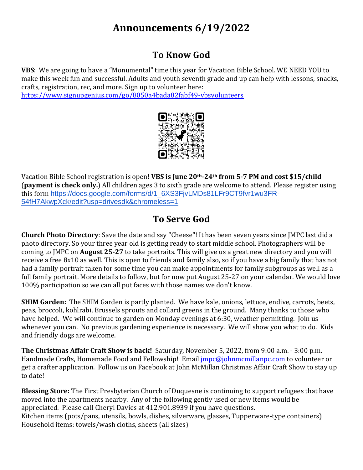# **Announcements 6/19/2022**

#### **To Know God**

**VBS**: We are going to have a "Monumental" time this year for Vacation Bible School. WE NEED YOU to make this week fun and successful. Adults and youth seventh grade and up can help with lessons, snacks, crafts, registration, rec, and more. Sign up to volunteer here: <https://www.signupgenius.com/go/8050a4bada82fabf49-vbsvolunteers>





Vacation Bible School registration is open! **VBS is June 20th-24th from 5-7 PM and cost \$15/child**  (**payment is check only.**) All children ages 3 to sixth grade are welcome to attend. Please register using this form [https://docs.google.com/forms/d/1\\_6XS3FjvLMDs81LFr9CT9fvr1wu3FR-](https://docs.google.com/forms/d/1_6XS3FjvLMDs81LFr9CT9fvr1wu3FR-54fH7AkwpXck/edit?usp=drivesdk&chromeless=1)[54fH7AkwpXck/edit?usp=drivesdk&chromeless=1](https://docs.google.com/forms/d/1_6XS3FjvLMDs81LFr9CT9fvr1wu3FR-54fH7AkwpXck/edit?usp=drivesdk&chromeless=1)

### **To Serve God**

**Church Photo Directory**: Save the date and say "Cheese"! It has been seven years since JMPC last did a photo directory. So your three year old is getting ready to start middle school. Photographers will be coming to JMPC on **August 25-27** to take portraits. This will give us a great new directory and you will receive a free 8x10 as well. This is open to friends and family also, so if you have a big family that has not had a family portrait taken for some time you can make appointments for family subgroups as well as a full family portrait. More details to follow, but for now put August 25-27 on your calendar. We would love 100% participation so we can all put faces with those names we don't know.

**SHIM Garden:** The SHIM Garden is partly planted. We have kale, onions, lettuce, endive, carrots, beets, peas, broccoli, kohlrabi, Brussels sprouts and collard greens in the ground. Many thanks to those who have helped. We will continue to garden on Monday evenings at 6:30, weather permitting. Join us whenever you can. No previous gardening experience is necessary. We will show you what to do. Kids and friendly dogs are welcome.

**The Christmas Affair Craft Show is back!** Saturday, November 5, 2022, from 9:00 a.m. - 3:00 p.m. Handmade Crafts, Homemade Food and Fellowship! Email *impc@johnmcmillanpc.com* to volunteer or get a crafter application. Follow us on Facebook at John McMillan Christmas Affair Craft Show to stay up to date!

**Blessing Store:** The First Presbyterian Church of Duquesne is continuing to support refugees that have moved into the apartments nearby. Any of the following gently used or new items would be appreciated. Please call Cheryl Davies at 412.901.8939 if you have questions. Kitchen items (pots/pans, utensils, bowls, dishes, silverware, glasses, Tupperware-type containers) Household items: towels/wash cloths, sheets (all sizes)